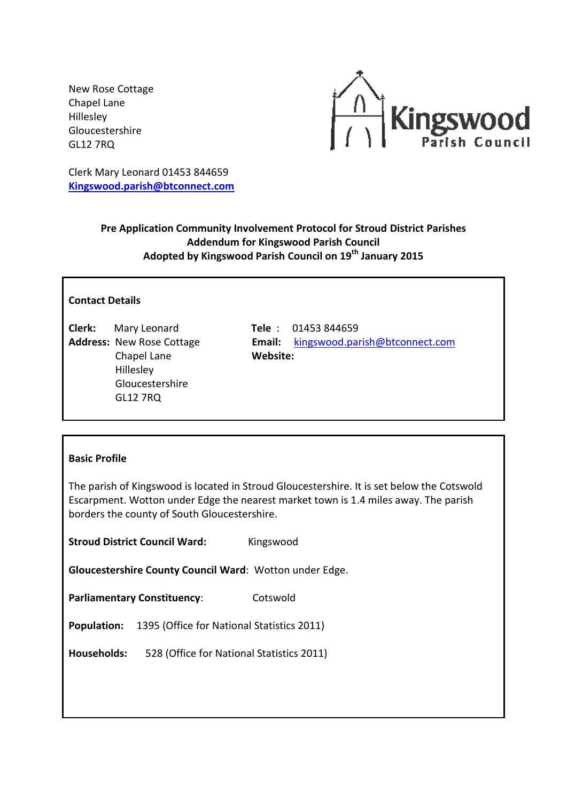New Rose Cottage Chapel Lane Hillesley Gloucestershire GL12 7RQ



Clerk Mary Leonard 01453 844659 **[Kingswood.parish@btconnect.com](mailto:Kingswood.parish@btconnect.com)**

# **Pre Application Community Involvement Protocol for Stroud District Parishes Addendum for Kingswood Parish Council Adopted by Kingswood Parish Council on 19th January 2015**

## **Contact Details**

**Clerk:** Mary Leonard **Tele** : 01453 844659 Chapel Lane **Website:** Hillesley Gloucestershire GL12 7RQ

**Address:** New Rose Cottage **Email:** [kingswood.parish@btconnect.com](mailto:kingswood.parish@btconnect.com)

#### **Basic Profile**

The parish of Kingswood is located in Stroud Gloucestershire. It is set below the Cotswold Escarpment. Wotton under Edge the nearest market town is 1.4 miles away. The parish borders the county of South Gloucestershire.

**Stroud District Council Ward:** Kingswood

**Gloucestershire County Council Ward**: Wotton under Edge.

**Parliamentary Constituency:** Cotswold

**Population:** 1395 (Office for National Statistics 2011)

**Households:** 528 (Office for National Statistics 2011)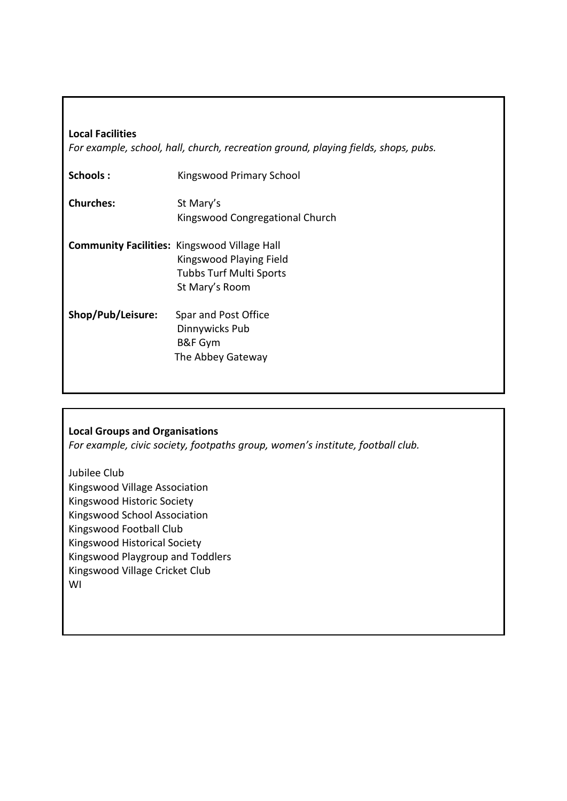## **Local Facilities**

*For example, school, hall, church, recreation ground, playing fields, shops, pubs.*

| Schools:          | Kingswood Primary School                                                                                                           |
|-------------------|------------------------------------------------------------------------------------------------------------------------------------|
| <b>Churches:</b>  | St Mary's<br>Kingswood Congregational Church                                                                                       |
|                   | <b>Community Facilities: Kingswood Village Hall</b><br>Kingswood Playing Field<br><b>Tubbs Turf Multi Sports</b><br>St Mary's Room |
| Shop/Pub/Leisure: | Spar and Post Office<br>Dinnywicks Pub<br>B&F Gym<br>The Abbey Gateway                                                             |

# **Local Groups and Organisations**

*For example, civic society, footpaths group, women's institute, football club.*

Jubilee Club Kingswood Village Association Kingswood Historic Society Kingswood School Association Kingswood Football Club Kingswood Historical Society Kingswood Playgroup and Toddlers Kingswood Village Cricket Club WI